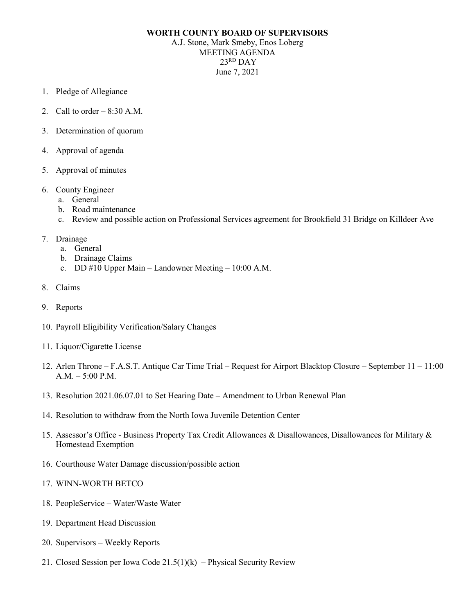## **WORTH COUNTY BOARD OF SUPERVISORS**

A.J. Stone, Mark Smeby, Enos Loberg MEETING AGENDA 23RD DAY June 7, 2021

- 1. Pledge of Allegiance
- 2. Call to order  $-8:30$  A.M.
- 3. Determination of quorum
- 4. Approval of agenda
- 5. Approval of minutes
- 6. County Engineer
	- a. General
	- b. Road maintenance
	- c. Review and possible action on Professional Services agreement for Brookfield 31 Bridge on Killdeer Ave
- 7. Drainage
	- a. General
	- b. Drainage Claims
	- c. DD #10 Upper Main Landowner Meeting 10:00 A.M.
- 8. Claims
- 9. Reports
- 10. Payroll Eligibility Verification/Salary Changes
- 11. Liquor/Cigarette License
- 12. Arlen Throne F.A.S.T. Antique Car Time Trial Request for Airport Blacktop Closure September 11 11:00 A.M. – 5:00 P.M.
- 13. Resolution 2021.06.07.01 to Set Hearing Date Amendment to Urban Renewal Plan
- 14. Resolution to withdraw from the North Iowa Juvenile Detention Center
- 15. Assessor's Office Business Property Tax Credit Allowances & Disallowances, Disallowances for Military & Homestead Exemption
- 16. Courthouse Water Damage discussion/possible action
- 17. WINN-WORTH BETCO
- 18. PeopleService Water/Waste Water
- 19. Department Head Discussion
- 20. Supervisors Weekly Reports
- 21. Closed Session per Iowa Code  $21.5(1)(k)$  Physical Security Review